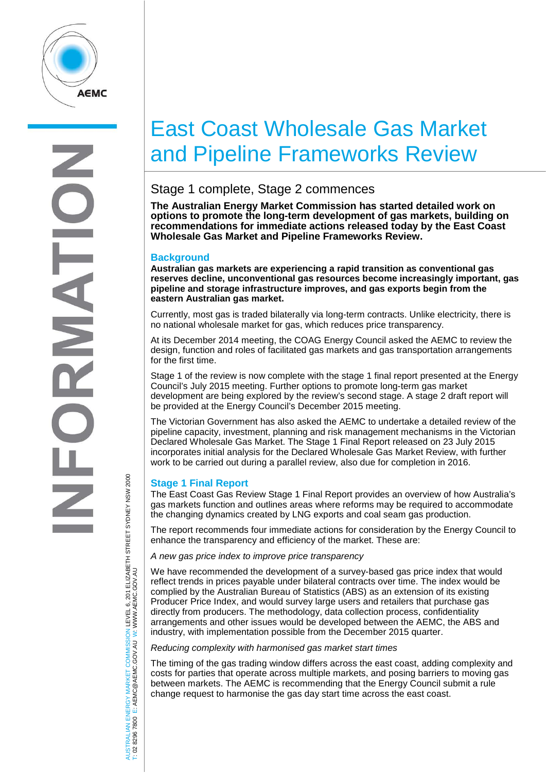

# East Coast Wholesale Gas Market and Pipeline Frameworks Review

# Stage 1 complete, Stage 2 commences

**The Australian Energy Market Commission has started detailed work on options to promote the long-term development of gas markets, building on recommendations for immediate actions released today by the East Coast Wholesale Gas Market and Pipeline Frameworks Review.**

## **Background**

**Australian gas markets are experiencing a rapid transition as conventional gas reserves decline, unconventional gas resources become increasingly important, gas pipeline and storage infrastructure improves, and gas exports begin from the eastern Australian gas market.**

Currently, most gas is traded bilaterally via long-term contracts. Unlike electricity, there is no national wholesale market for gas, which reduces price transparency.

At its December 2014 meeting, the COAG Energy Council asked the AEMC to review the design, function and roles of facilitated gas markets and gas transportation arrangements for the first time.

Stage 1 of the review is now complete with the stage 1 final report presented at the Energy Council's July 2015 meeting. Further options to promote long-term gas market development are being explored by the review's second stage. A stage 2 draft report will be provided at the Energy Council's December 2015 meeting.

The Victorian Government has also asked the AEMC to undertake a detailed review of the pipeline capacity, investment, planning and risk management mechanisms in the Victorian Declared Wholesale Gas Market. The Stage 1 Final Report released on 23 July 2015 incorporates initial analysis for the Declared Wholesale Gas Market Review, with further work to be carried out during a parallel review, also due for completion in 2016.

# **Stage 1 Final Report**

The East Coast Gas Review Stage 1 Final Report provides an overview of how Australia's gas markets function and outlines areas where reforms may be required to accommodate the changing dynamics created by LNG exports and coal seam gas production.

The report recommends four immediate actions for consideration by the Energy Council to enhance the transparency and efficiency of the market. These are:

*A new gas price index to improve price transparency*

We have recommended the development of a survey-based gas price index that would reflect trends in prices payable under bilateral contracts over time. The index would be complied by the Australian Bureau of Statistics (ABS) as an extension of its existing Producer Price Index, and would survey large users and retailers that purchase gas directly from producers. The methodology, data collection process, confidentiality arrangements and other issues would be developed between the AEMC, the ABS and industry, with implementation possible from the December 2015 quarter.

### *Reducing complexity with harmonised gas market start times*

The timing of the gas trading window differs across the east coast, adding complexity and costs for parties that operate across multiple markets, and posing barriers to moving gas between markets. The AEMC is recommending that the Energy Council submit a rule change request to harmonise the gas day start time across the east coast.

AUSTRALIAN ENERGY MARKET COMMISSION LEVEL 6, 201 ELIZABETH STREET SYDNEY NSW 2000 TRALIAN ENERGY MARKET COMMISSION LEVEL 6, 201 ELIZABETH STREET SYDNEY NSW 2000<br>8296 7800 E: AEMC@AEMC.GOV.AU W: WWW.AEMC.GOV.AU W: WWW.AEMC.GOV.AU T: 02 8296 7800 E: AEMC@AEMC.GOV.AU

**ISL**  $\overline{8}$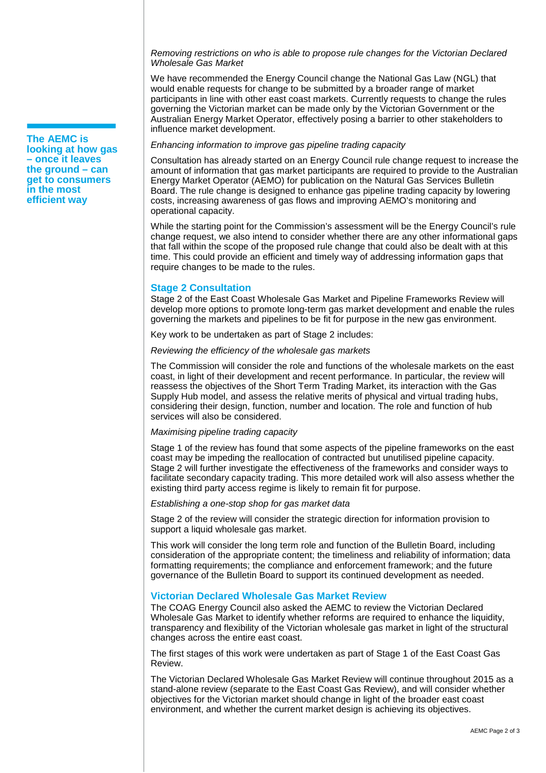*Removing restrictions on who is able to propose rule changes for the Victorian Declared Wholesale Gas Market* 

We have recommended the Energy Council change the National Gas Law (NGL) that would enable requests for change to be submitted by a broader range of market participants in line with other east coast markets. Currently requests to change the rules governing the Victorian market can be made only by the Victorian Government or the Australian Energy Market Operator, effectively posing a barrier to other stakeholders to influence market development.

#### *Enhancing information to improve gas pipeline trading capacity*

Consultation has already started on an Energy Council rule change request to increase the amount of information that gas market participants are required to provide to the Australian Energy Market Operator (AEMO) for publication on the Natural Gas Services Bulletin Board. The rule change is designed to enhance gas pipeline trading capacity by lowering costs, increasing awareness of gas flows and improving AEMO's monitoring and operational capacity.

While the starting point for the Commission's assessment will be the Energy Council's rule change request, we also intend to consider whether there are any other informational gaps that fall within the scope of the proposed rule change that could also be dealt with at this time. This could provide an efficient and timely way of addressing information gaps that require changes to be made to the rules.

# **Stage 2 Consultation**

Stage 2 of the East Coast Wholesale Gas Market and Pipeline Frameworks Review will develop more options to promote long-term gas market development and enable the rules governing the markets and pipelines to be fit for purpose in the new gas environment.

Key work to be undertaken as part of Stage 2 includes:

*Reviewing the efficiency of the wholesale gas markets*

The Commission will consider the role and functions of the wholesale markets on the east coast, in light of their development and recent performance. In particular, the review will reassess the objectives of the Short Term Trading Market, its interaction with the Gas Supply Hub model, and assess the relative merits of physical and virtual trading hubs, considering their design, function, number and location. The role and function of hub services will also be considered.

#### *Maximising pipeline trading capacity*

Stage 1 of the review has found that some aspects of the pipeline frameworks on the east coast may be impeding the reallocation of contracted but unutilised pipeline capacity. Stage 2 will further investigate the effectiveness of the frameworks and consider ways to facilitate secondary capacity trading. This more detailed work will also assess whether the existing third party access regime is likely to remain fit for purpose.

#### *Establishing a one-stop shop for gas market data*

Stage 2 of the review will consider the strategic direction for information provision to support a liquid wholesale gas market.

This work will consider the long term role and function of the Bulletin Board, including consideration of the appropriate content; the timeliness and reliability of information; data formatting requirements; the compliance and enforcement framework; and the future governance of the Bulletin Board to support its continued development as needed.

### **Victorian Declared Wholesale Gas Market Review**

The COAG Energy Council also asked the AEMC to review the Victorian Declared Wholesale Gas Market to identify whether reforms are required to enhance the liquidity, transparency and flexibility of the Victorian wholesale gas market in light of the structural changes across the entire east coast.

The first stages of this work were undertaken as part of Stage 1 of the East Coast Gas Review.

The Victorian Declared Wholesale Gas Market Review will continue throughout 2015 as a stand-alone review (separate to the East Coast Gas Review), and will consider whether objectives for the Victorian market should change in light of the broader east coast environment, and whether the current market design is achieving its objectives.

**The AEMC is looking at how gas – once it leaves the ground – can get to consumers in the most efficient way**